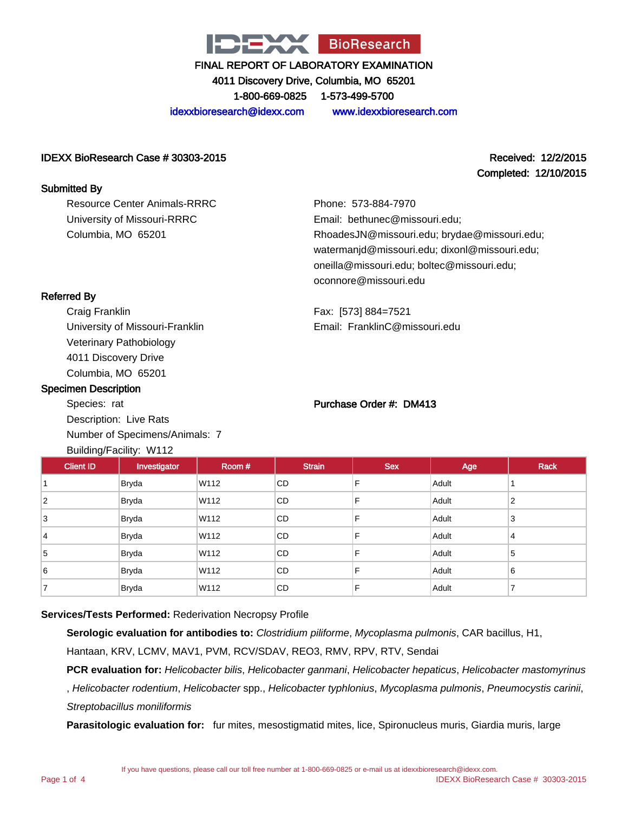

4011 Discovery Drive, Columbia, MO 65201

1-800-669-0825 1-573-499-5700

idexxbioresearch@idexx.com www.idexxbioresearch.com

#### IDEXX BioResearch Case # 30303-2015 Received: 12/2/2015

Resource Center Animals-RRRC University of Missouri-RRRC

Columbia, MO 65201

# Completed: 12/10/2015

Phone: 573-884-7970 Email: bethunec@missouri.edu; RhoadesJN@missouri.edu; brydae@missouri.edu; watermanjd@missouri.edu; dixonl@missouri.edu; oneilla@missouri.edu; boltec@missouri.edu; oconnore@missouri.edu

Fax: [573] 884=7521 Email: FranklinC@missouri.edu

# Referred By

Submitted By

Craig Franklin University of Missouri-Franklin Veterinary Pathobiology 4011 Discovery Drive Columbia, MO 65201

#### Specimen Description

Species: rat Description: Live Rats Number of Specimens/Animals: 7

#### Purchase Order #: DM413

| <b>Client ID</b> | Investigator | Room# | <b>Strain</b> | <b>Sex</b> | Age   | <b>Rack</b> |
|------------------|--------------|-------|---------------|------------|-------|-------------|
|                  | Bryda        | W112  | CD.           | F          | Adult |             |
| $\overline{2}$   | <b>Bryda</b> | W112  | CD            | F          | Adult | 2           |
| 3                | <b>Bryda</b> | W112  | CD            | F          | Adult | 3           |
| 14               | <b>Bryda</b> | W112  | <b>CD</b>     | F          | Adult | 4           |
| 5                | <b>Bryda</b> | W112  | <b>CD</b>     | F          | Adult | 5           |
| 6                | <b>Bryda</b> | W112  | <b>CD</b>     | F          | Adult | 6           |
|                  | <b>Bryda</b> | W112  | CD            | F          | Adult | ⇁           |

## **Services/Tests Performed:** Rederivation Necropsy Profile

**Serologic evaluation for antibodies to:** Clostridium piliforme, Mycoplasma pulmonis, CAR bacillus, H1,

Hantaan, KRV, LCMV, MAV1, PVM, RCV/SDAV, REO3, RMV, RPV, RTV, Sendai

PCR evaluation for: Helicobacter bilis, Helicobacter ganmani, Helicobacter hepaticus, Helicobacter mastomyrinus

, Helicobacter rodentium, Helicobacter spp., Helicobacter typhlonius, Mycoplasma pulmonis, Pneumocystis carinii, Streptobacillus moniliformis

**Parasitologic evaluation for:** fur mites, mesostigmatid mites, lice, Spironucleus muris, Giardia muris, large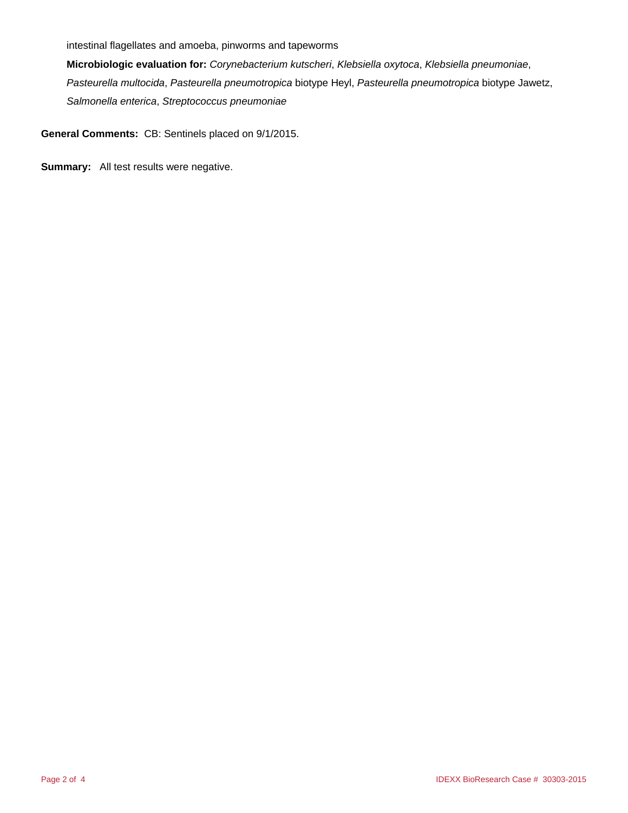intestinal flagellates and amoeba, pinworms and tapeworms

**Microbiologic evaluation for:** Corynebacterium kutscheri, Klebsiella oxytoca, Klebsiella pneumoniae, Pasteurella multocida, Pasteurella pneumotropica biotype Heyl, Pasteurella pneumotropica biotype Jawetz, Salmonella enterica, Streptococcus pneumoniae

**General Comments:** CB: Sentinels placed on 9/1/2015.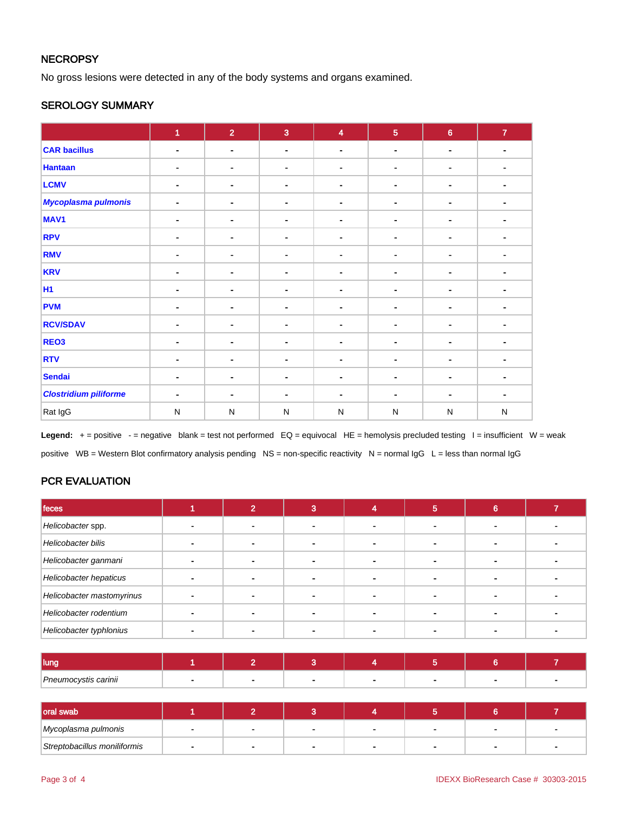## **NECROPSY**

No gross lesions were detected in any of the body systems and organs examined.

#### SEROLOGY SUMMARY

|                              | $\blacktriangleleft$ | 2 <sup>1</sup> | $\overline{3}$ | $\overline{\mathbf{4}}$ | $\overline{5}$ | $6\phantom{a}$ | $\mathbf{7}$ |
|------------------------------|----------------------|----------------|----------------|-------------------------|----------------|----------------|--------------|
| <b>CAR bacillus</b>          | ٠                    | $\blacksquare$ | $\blacksquare$ | $\sim$                  | ۰              | $\blacksquare$ | ٠            |
| <b>Hantaan</b>               | ٠                    | $\blacksquare$ | $\blacksquare$ |                         |                | ۰              |              |
| <b>LCMV</b>                  | ٠                    | $\blacksquare$ | $\blacksquare$ |                         | $\blacksquare$ | ۰              |              |
| <b>Mycoplasma pulmonis</b>   | ۰                    | $\blacksquare$ | $\blacksquare$ | $\blacksquare$          | ۰              | ٠              |              |
| MAV <sub>1</sub>             | $\blacksquare$       | $\blacksquare$ | ٠              |                         | ۰              | ۰              |              |
| <b>RPV</b>                   |                      | ۰              | $\blacksquare$ | $\blacksquare$          | ۰              | $\blacksquare$ | ٠            |
| <b>RMV</b>                   | $\blacksquare$       | $\blacksquare$ | $\blacksquare$ |                         |                | ۰              |              |
| <b>KRV</b>                   | $\blacksquare$       | $\blacksquare$ | $\blacksquare$ |                         | ۰              | ٠              |              |
| <b>H1</b>                    | $\blacksquare$       | ۰              | $\blacksquare$ | $\blacksquare$          | ۰              | $\blacksquare$ |              |
| <b>PVM</b>                   |                      | $\blacksquare$ | $\blacksquare$ |                         | ۰              |                |              |
| <b>RCV/SDAV</b>              | ٠                    | ۰              | $\blacksquare$ | $\blacksquare$          | $\blacksquare$ | $\blacksquare$ |              |
| REO <sub>3</sub>             | $\blacksquare$       | $\blacksquare$ | $\blacksquare$ |                         |                | ۰              |              |
| <b>RTV</b>                   | ۰                    | $\blacksquare$ | $\blacksquare$ |                         | $\blacksquare$ | ٠              |              |
| <b>Sendai</b>                | $\blacksquare$       | $\blacksquare$ | $\blacksquare$ |                         | ۰              | ۰              |              |
| <b>Clostridium piliforme</b> | ٠                    | $\blacksquare$ | $\sim$         |                         | $\blacksquare$ |                |              |
| Rat IgG                      | $\mathsf{N}$         | ${\sf N}$      | $\mathsf{N}$   | $\mathsf{N}$            | ${\sf N}$      | ${\sf N}$      | $\mathsf{N}$ |

Legend: + = positive - = negative blank = test not performed EQ = equivocal HE = hemolysis precluded testing I = insufficient W = weak positive WB = Western Blot confirmatory analysis pending NS = non-specific reactivity N = normal IgG L = less than normal IgG

# PCR EVALUATION

| feces                     |  |                          | Ð | ⌒ |  |
|---------------------------|--|--------------------------|---|---|--|
| Helicobacter spp.         |  |                          |   |   |  |
| <b>Helicobacter bilis</b> |  |                          |   |   |  |
| Helicobacter ganmani      |  |                          |   |   |  |
| Helicobacter hepaticus    |  | $\overline{\phantom{0}}$ |   |   |  |
| Helicobacter mastomyrinus |  |                          |   |   |  |
| Helicobacter rodentium    |  |                          |   |   |  |
| Helicobacter typhlonius   |  |                          |   |   |  |

| I luna               |  |  |  |  |
|----------------------|--|--|--|--|
| Pneumocystis carinii |  |  |  |  |

| oral swab                    |  |                |  |                          |
|------------------------------|--|----------------|--|--------------------------|
| Mycoplasma pulmonis          |  | $\blacksquare$ |  | $\overline{\phantom{a}}$ |
| Streptobacillus moniliformis |  |                |  |                          |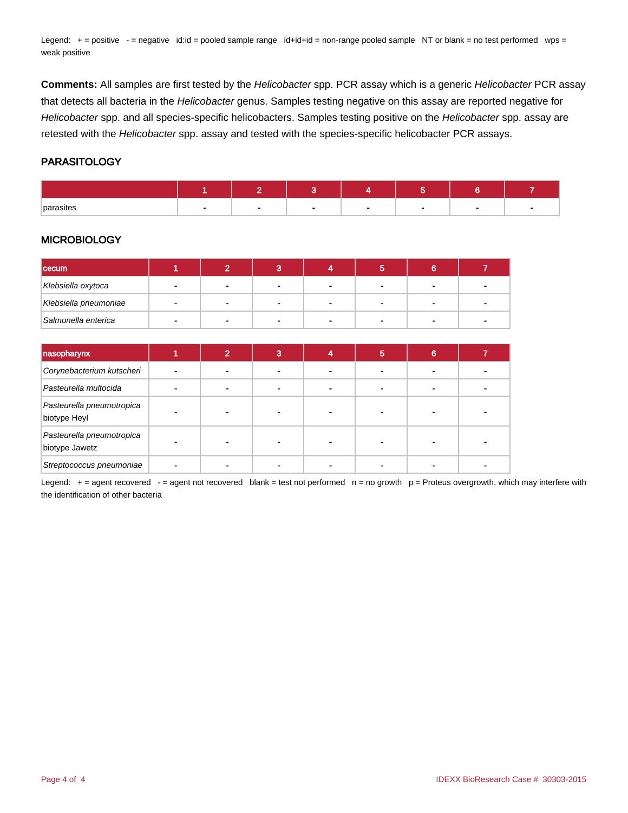Legend: + = positive - = negative id:id = pooled sample range id+id+id = non-range pooled sample NT or blank = no test performed wps = weak positive

**Comments:** All samples are first tested by the Helicobacter spp. PCR assay which is a generic Helicobacter PCR assay that detects all bacteria in the Helicobacter genus. Samples testing negative on this assay are reported negative for Helicobacter spp. and all species-specific helicobacters. Samples testing positive on the Helicobacter spp. assay are retested with the Helicobacter spp. assay and tested with the species-specific helicobacter PCR assays.

#### PARASITOLOGY

| parasites |  |  |  |  |
|-----------|--|--|--|--|

#### **MICROBIOLOGY**

| cecum                 |              |                |  |  |  |
|-----------------------|--------------|----------------|--|--|--|
| Klebsiella oxytoca    | $\sim$       | $\blacksquare$ |  |  |  |
| Klebsiella pneumoniae | $\mathbf{r}$ | $\blacksquare$ |  |  |  |
| Salmonella enterica   | $\sim$       | -              |  |  |  |

| nasopharynx                                 |  | 3 | 5 | 6 |  |
|---------------------------------------------|--|---|---|---|--|
| Corynebacterium kutscheri                   |  |   |   |   |  |
| Pasteurella multocida                       |  |   |   |   |  |
| Pasteurella pneumotropica<br>biotype Heyl   |  |   |   |   |  |
| Pasteurella pneumotropica<br>biotype Jawetz |  |   |   |   |  |
| Streptococcus pneumoniae                    |  |   |   |   |  |

Legend:  $+=$  agent recovered  $-$  = agent not recovered blank = test not performed  $n =$  no growth  $p =$  Proteus overgrowth, which may interfere with the identification of other bacteria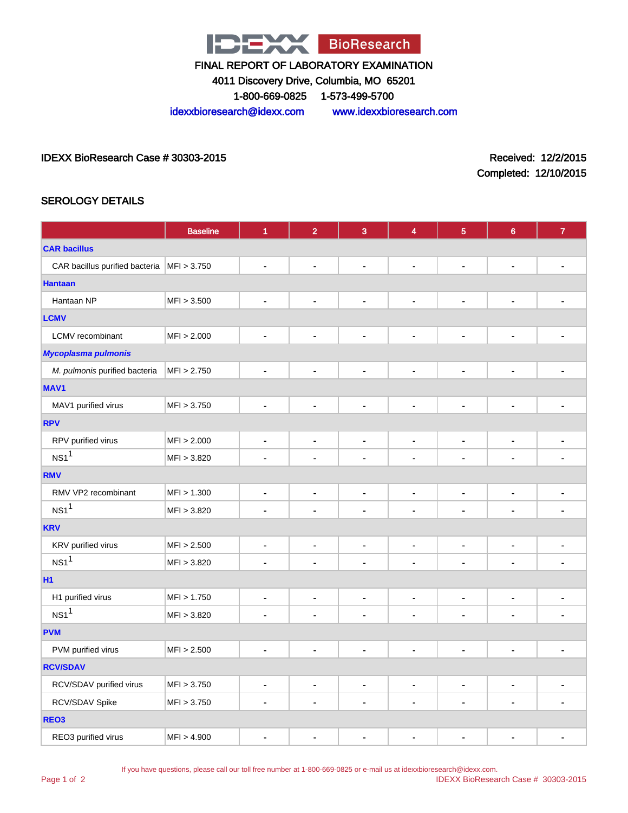

4011 Discovery Drive, Columbia, MO 65201

1-800-669-0825 1-573-499-5700

idexxbioresearch@idexx.com www.idexxbioresearch.com

#### IDEXX BioResearch Case # 30303-2015 Received: 12/2/2015

Completed: 12/10/2015

## SEROLOGY DETAILS

|                                              | <b>Baseline</b> | $\overline{1}$               | $\overline{2}$               | $\overline{3}$               | 4                        | $\overline{5}$               | $\boldsymbol{6}$             | $\overline{7}$           |  |  |
|----------------------------------------------|-----------------|------------------------------|------------------------------|------------------------------|--------------------------|------------------------------|------------------------------|--------------------------|--|--|
| <b>CAR bacillus</b>                          |                 |                              |                              |                              |                          |                              |                              |                          |  |  |
| CAR bacillus purified bacteria   MFI > 3.750 |                 | $\blacksquare$               | $\blacksquare$               | $\blacksquare$               | $\blacksquare$           | $\blacksquare$               | $\blacksquare$               | ٠                        |  |  |
| <b>Hantaan</b>                               |                 |                              |                              |                              |                          |                              |                              |                          |  |  |
| Hantaan NP                                   | MFI > 3.500     | $\blacksquare$               | $\blacksquare$               | $\blacksquare$               | $\blacksquare$           | $\blacksquare$               | $\blacksquare$               |                          |  |  |
| <b>LCMV</b>                                  |                 |                              |                              |                              |                          |                              |                              |                          |  |  |
| LCMV recombinant                             | MFI > 2.000     | $\blacksquare$               | $\qquad \qquad \blacksquare$ | $\blacksquare$               | $\blacksquare$           | $\overline{\phantom{a}}$     | $\blacksquare$               | $\overline{a}$           |  |  |
| <b>Mycoplasma pulmonis</b>                   |                 |                              |                              |                              |                          |                              |                              |                          |  |  |
| M. pulmonis purified bacteria                | MFI > 2.750     | $\blacksquare$               | $\blacksquare$               | $\qquad \qquad \blacksquare$ | $\blacksquare$           | $\blacksquare$               | $\blacksquare$               | $\overline{a}$           |  |  |
| MAV <sub>1</sub>                             |                 |                              |                              |                              |                          |                              |                              |                          |  |  |
| MAV1 purified virus                          | MFI > 3.750     | $\blacksquare$               | $\blacksquare$               | $\blacksquare$               | $\blacksquare$           | $\blacksquare$               | $\blacksquare$               | $\blacksquare$           |  |  |
| <b>RPV</b>                                   |                 |                              |                              |                              |                          |                              |                              |                          |  |  |
| RPV purified virus                           | MFI > 2.000     | $\blacksquare$               | $\qquad \qquad \blacksquare$ | $\qquad \qquad \blacksquare$ | $\blacksquare$           | $\blacksquare$               | $\blacksquare$               | $\blacksquare$           |  |  |
| NS1 <sup>1</sup>                             | MFI > 3.820     | $\blacksquare$               | $\blacksquare$               | $\blacksquare$               | $\blacksquare$           | $\blacksquare$               | $\blacksquare$               | ä,                       |  |  |
| <b>RMV</b>                                   |                 |                              |                              |                              |                          |                              |                              |                          |  |  |
| RMV VP2 recombinant                          | MFI > 1.300     | $\blacksquare$               | $\qquad \qquad \blacksquare$ | $\blacksquare$               | $\overline{\phantom{a}}$ | $\blacksquare$               | $\blacksquare$               | $\blacksquare$           |  |  |
| NS1 <sup>1</sup>                             | MFI > 3.820     | $\blacksquare$               | $\blacksquare$               | $\blacksquare$               | $\blacksquare$           | $\blacksquare$               | $\blacksquare$               | -                        |  |  |
| <b>KRV</b>                                   |                 |                              |                              |                              |                          |                              |                              |                          |  |  |
| KRV purified virus                           | MFI > 2.500     | $\blacksquare$               | $\qquad \qquad \blacksquare$ | $\qquad \qquad \blacksquare$ | $\blacksquare$           | $\blacksquare$               | $\qquad \qquad \blacksquare$ | $\blacksquare$           |  |  |
| NS1 <sup>1</sup>                             | MFI > 3.820     | $\blacksquare$               | $\blacksquare$               | $\blacksquare$               | ä,                       | ä,                           | $\blacksquare$               |                          |  |  |
| <b>H1</b>                                    |                 |                              |                              |                              |                          |                              |                              |                          |  |  |
| H1 purified virus                            | MFI > 1.750     | $\qquad \qquad \blacksquare$ | $\qquad \qquad \blacksquare$ | $\qquad \qquad \blacksquare$ | $\overline{\phantom{a}}$ | $\overline{\phantom{a}}$     | $\overline{\phantom{a}}$     | ۰                        |  |  |
| NS1 <sup>1</sup>                             | MFI > 3.820     | $\blacksquare$               | $\blacksquare$               | $\blacksquare$               | $\blacksquare$           | $\blacksquare$               | $\blacksquare$               | ۰                        |  |  |
| <b>PVM</b>                                   |                 |                              |                              |                              |                          |                              |                              |                          |  |  |
| PVM purified virus                           | MFI > 2.500     | $\blacksquare$               | $\qquad \qquad \blacksquare$ | $\qquad \qquad \blacksquare$ | $\overline{\phantom{a}}$ | $\qquad \qquad \blacksquare$ | $\overline{\phantom{a}}$     | $\overline{\phantom{0}}$ |  |  |
| <b>RCV/SDAV</b>                              |                 |                              |                              |                              |                          |                              |                              |                          |  |  |
| RCV/SDAV purified virus                      | MFI > 3.750     | $\blacksquare$               | $\blacksquare$               | $\qquad \qquad \blacksquare$ | $\blacksquare$           | $\blacksquare$               | $\blacksquare$               | $\blacksquare$           |  |  |
| RCV/SDAV Spike                               | MFI > 3.750     | $\blacksquare$               | $\qquad \qquad \blacksquare$ | $\qquad \qquad \blacksquare$ | $\blacksquare$           | $\blacksquare$               | ä,                           | $\blacksquare$           |  |  |
| REO <sub>3</sub>                             |                 |                              |                              |                              |                          |                              |                              |                          |  |  |
| REO3 purified virus                          | MFI > 4.900     | $\blacksquare$               | $\blacksquare$               | $\blacksquare$               | $\blacksquare$           | ٠                            | $\qquad \qquad \blacksquare$ | ٠                        |  |  |

If you have questions, please call our toll free number at 1-800-669-0825 or e-mail us at idexxbioresearch@idexx.com.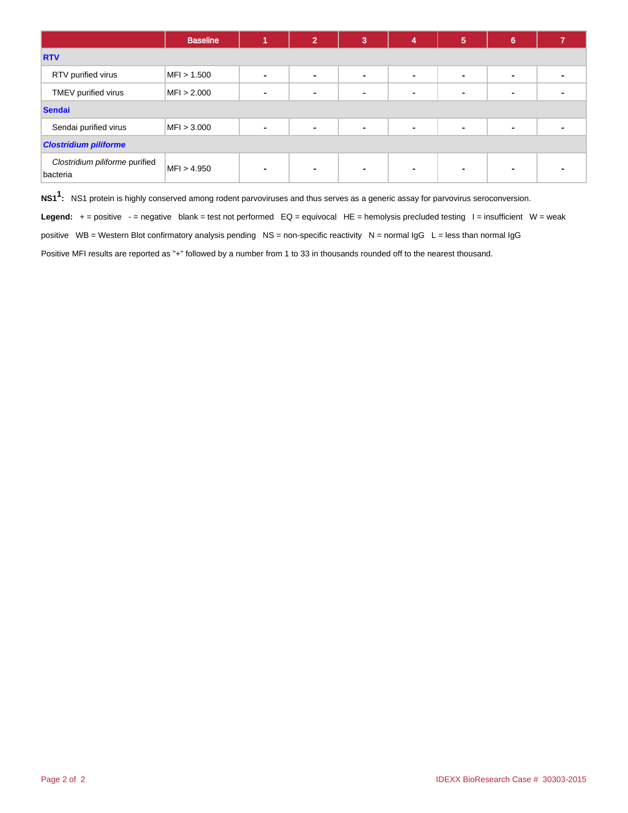|                                            | <b>Baseline</b> |                          | $\mathbf{2}^{\prime}$ | 3              | 4                        | 5 | 6              |  |  |  |
|--------------------------------------------|-----------------|--------------------------|-----------------------|----------------|--------------------------|---|----------------|--|--|--|
| <b>RTV</b>                                 |                 |                          |                       |                |                          |   |                |  |  |  |
| RTV purified virus                         | MFI > 1.500     | $\blacksquare$           | ۰                     | $\blacksquare$ | $\blacksquare$           |   | $\blacksquare$ |  |  |  |
| TMEV purified virus                        | MFI > 2.000     | $\blacksquare$           | $\blacksquare$        | $\blacksquare$ | $\overline{\phantom{a}}$ |   | -              |  |  |  |
| <b>Sendai</b>                              |                 |                          |                       |                |                          |   |                |  |  |  |
| Sendai purified virus                      | MFI > 3.000     | $\blacksquare$           | $\blacksquare$        | $\blacksquare$ | $\blacksquare$           |   | $\blacksquare$ |  |  |  |
| <b>Clostridium piliforme</b>               |                 |                          |                       |                |                          |   |                |  |  |  |
| Clostridium piliforme purified<br>bacteria | MFI > 4.950     | $\overline{\phantom{0}}$ | $\blacksquare$        | $\blacksquare$ | $\blacksquare$           |   | -              |  |  |  |

**NS11 :** NS1 protein is highly conserved among rodent parvoviruses and thus serves as a generic assay for parvovirus seroconversion.

Legend: + = positive - = negative blank = test not performed EQ = equivocal HE = hemolysis precluded testing I = insufficient W = weak

positive WB = Western Blot confirmatory analysis pending NS = non-specific reactivity N = normal IgG L = less than normal IgG

Positive MFI results are reported as "+" followed by a number from 1 to 33 in thousands rounded off to the nearest thousand.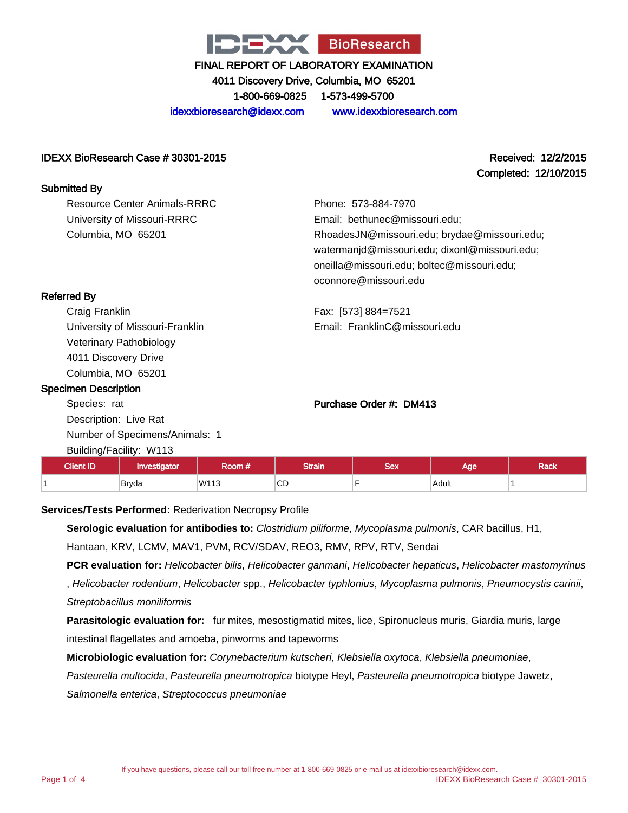

4011 Discovery Drive, Columbia, MO 65201

1-800-669-0825 1-573-499-5700

idexxbioresearch@idexx.com www.idexxbioresearch.com

#### IDEXX BioResearch Case # 30301-2015 Received: 12/2/2015

# Completed: 12/10/2015

| <b>Submitted By</b>             |                                               |
|---------------------------------|-----------------------------------------------|
| Resource Center Animals-RRRC    | Phone: 573-884-7970                           |
| University of Missouri-RRRC     | Email: bethunec@missouri.edu;                 |
| Columbia, MO 65201              | RhoadesJN@missouri.edu; brydae@missouri.edu;  |
|                                 | watermanjd@missouri.edu; dixonl@missouri.edu; |
|                                 | oneilla@missouri.edu; boltec@missouri.edu;    |
|                                 | oconnore@missouri.edu                         |
| <b>Referred By</b>              |                                               |
| Craig Franklin                  | Fax: [573] 884=7521                           |
| University of Missouri-Franklin | Email: FranklinC@missouri.edu                 |

University of Missouri-Franklin Veterinary Pathobiology 4011 Discovery Drive Columbia, MO 65201

#### Specimen Description

Species: rat Description: Live Rat Number of Specimens/Animals: 1 Building/Facility: W113

#### Purchase Order #: DM413

| Cliant ID | vestigator | koom # | <b>Strain</b> | Sex | Aae   | Rack |
|-----------|------------|--------|---------------|-----|-------|------|
|           | Bryda      | W113   | $\sim$<br>◡◡  |     | Adult |      |

#### **Services/Tests Performed:** Rederivation Necropsy Profile

**Serologic evaluation for antibodies to:** Clostridium piliforme, Mycoplasma pulmonis, CAR bacillus, H1, Hantaan, KRV, LCMV, MAV1, PVM, RCV/SDAV, REO3, RMV, RPV, RTV, Sendai

**PCR evaluation for:** Helicobacter bilis, Helicobacter ganmani, Helicobacter hepaticus, Helicobacter mastomyrinus

, Helicobacter rodentium, Helicobacter spp., Helicobacter typhlonius, Mycoplasma pulmonis, Pneumocystis carinii, Streptobacillus moniliformis

**Parasitologic evaluation for:** fur mites, mesostigmatid mites, lice, Spironucleus muris, Giardia muris, large intestinal flagellates and amoeba, pinworms and tapeworms

**Microbiologic evaluation for:** Corynebacterium kutscheri, Klebsiella oxytoca, Klebsiella pneumoniae,

Pasteurella multocida, Pasteurella pneumotropica biotype Heyl, Pasteurella pneumotropica biotype Jawetz,

Salmonella enterica, Streptococcus pneumoniae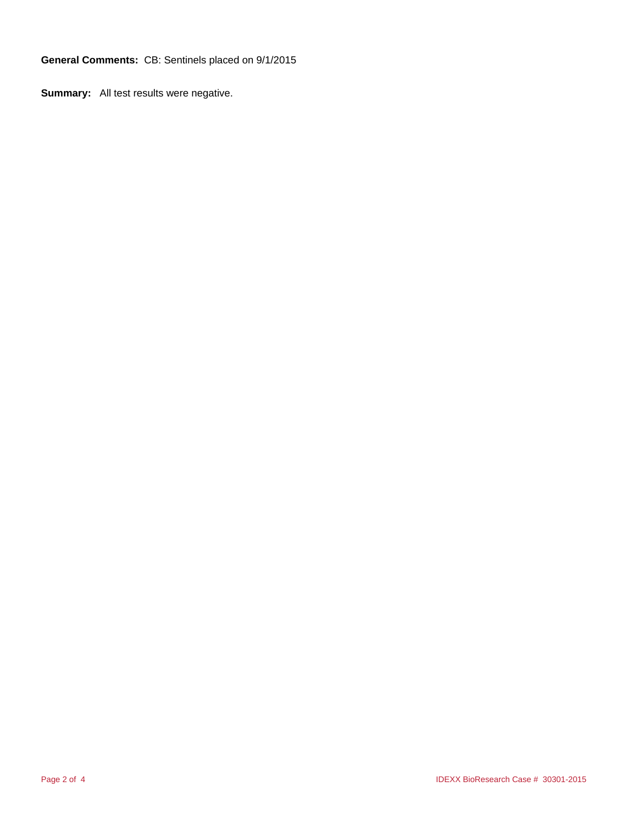**General Comments:** CB: Sentinels placed on 9/1/2015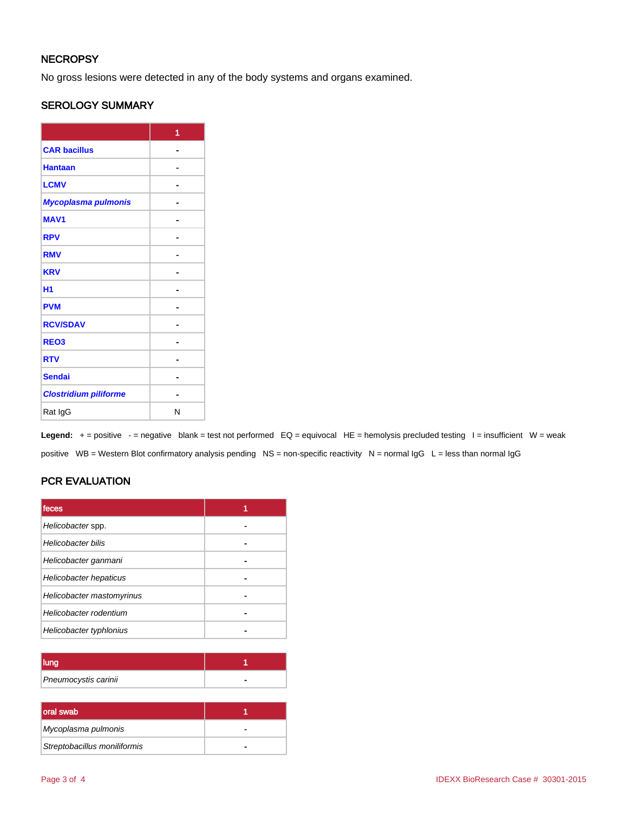## **NECROPSY**

No gross lesions were detected in any of the body systems and organs examined.

## SEROLOGY SUMMARY

|                              | 1 |
|------------------------------|---|
| <b>CAR bacillus</b>          |   |
| <b>Hantaan</b>               |   |
| <b>LCMV</b>                  |   |
| Mycoplasma pulmonis          |   |
| <b>MAV1</b>                  |   |
| <b>RPV</b>                   |   |
| <b>RMV</b>                   |   |
| <b>KRV</b>                   |   |
| H <sub>1</sub>               |   |
| <b>PVM</b>                   |   |
| <b>RCV/SDAV</b>              |   |
| REO <sub>3</sub>             |   |
| <b>RTV</b>                   |   |
| <b>Sendai</b>                |   |
| <b>Clostridium piliforme</b> |   |
| Rat IgG                      | N |

Legend: + = positive - = negative blank = test not performed EQ = equivocal HE = hemolysis precluded testing I = insufficient W = weak positive WB = Western Blot confirmatory analysis pending NS = non-specific reactivity N = normal IgG L = less than normal IgG

# PCR EVALUATION

| <b>Ifeces</b>             |  |
|---------------------------|--|
| Helicobacter spp.         |  |
| Helicobacter bilis        |  |
| Helicobacter ganmani      |  |
| Helicobacter hepaticus    |  |
| Helicobacter mastomyrinus |  |
| Helicobacter rodentium    |  |
| Helicobacter typhlonius   |  |

| Pneumocystis carinii |  |
|----------------------|--|

| oral swab                    |   |
|------------------------------|---|
| Mycoplasma pulmonis          | - |
| Streptobacillus moniliformis |   |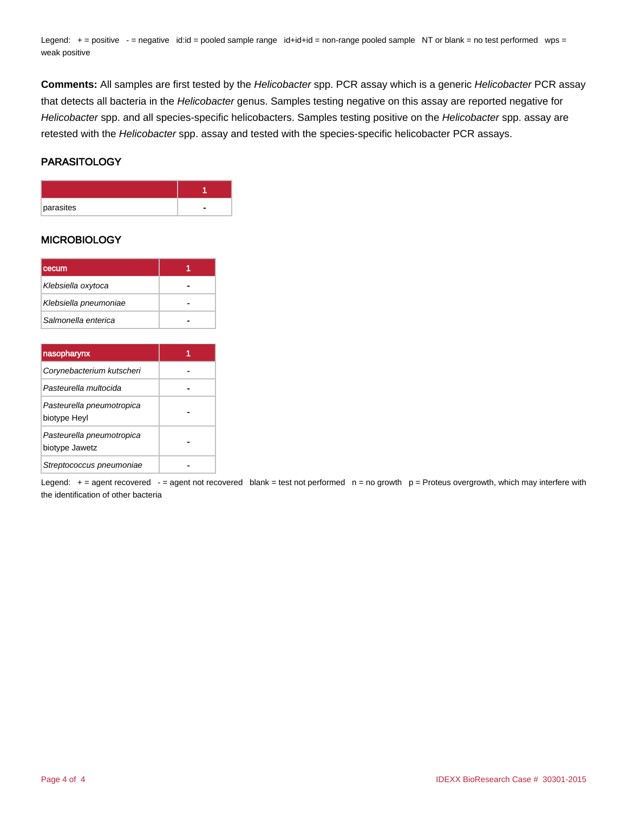Legend: + = positive - = negative id:id = pooled sample range id+id+id = non-range pooled sample NT or blank = no test performed wps = weak positive

**Comments:** All samples are first tested by the Helicobacter spp. PCR assay which is a generic Helicobacter PCR assay that detects all bacteria in the Helicobacter genus. Samples testing negative on this assay are reported negative for Helicobacter spp. and all species-specific helicobacters. Samples testing positive on the Helicobacter spp. assay are retested with the Helicobacter spp. assay and tested with the species-specific helicobacter PCR assays.

#### PARASITOLOGY

| parasites |  |
|-----------|--|

#### **MICROBIOLOGY**

| l cecum               |  |
|-----------------------|--|
| Klebsiella oxytoca    |  |
| Klebsiella pneumoniae |  |
| Salmonella enterica   |  |

| nasopharynx                                 |  |
|---------------------------------------------|--|
| Corynebacterium kutscheri                   |  |
| Pasteurella multocida                       |  |
| Pasteurella pneumotropica<br>biotype Heyl   |  |
| Pasteurella pneumotropica<br>biotype Jawetz |  |
| Streptococcus pneumoniae                    |  |

Legend:  $+=$  agent recovered  $-$  = agent not recovered blank = test not performed  $n =$  no growth  $p =$  Proteus overgrowth, which may interfere with the identification of other bacteria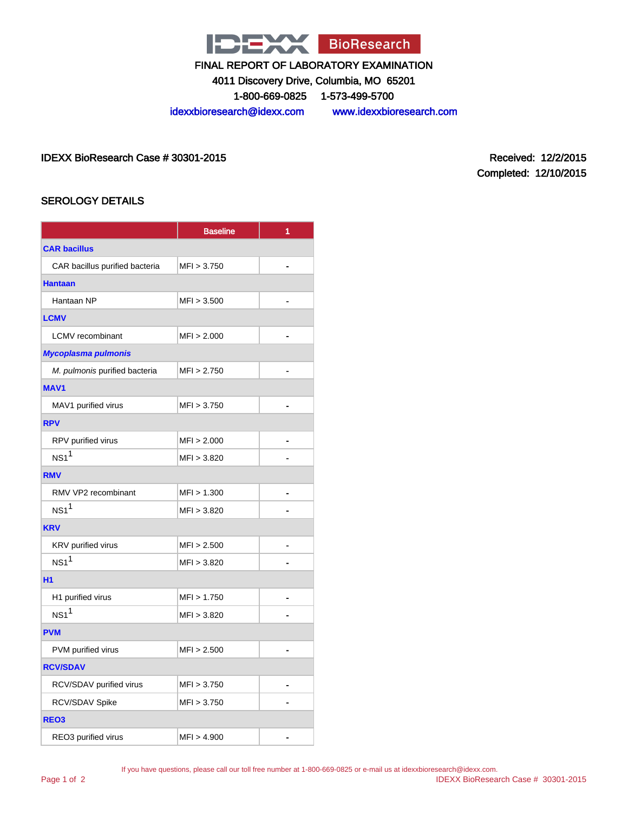

4011 Discovery Drive, Columbia, MO 65201

1-800-669-0825 1-573-499-5700

idexxbioresearch@idexx.com www.idexxbioresearch.com

IDEXX BioResearch Case # 30301-2015 Received: 12/2/2015

Completed: 12/10/2015

## SEROLOGY DETAILS

|                                | <b>Baseline</b> | 1              |  |
|--------------------------------|-----------------|----------------|--|
| <b>CAR bacillus</b>            |                 |                |  |
| CAR bacillus purified bacteria | MFI > 3.750     |                |  |
| <b>Hantaan</b>                 |                 |                |  |
| Hantaan NP                     | MFI > 3.500     |                |  |
| <b>LCMV</b>                    |                 |                |  |
| <b>LCMV</b> recombinant        | MFI > 2.000     | $\blacksquare$ |  |
| <b>Mycoplasma pulmonis</b>     |                 |                |  |
| M. pulmonis purified bacteria  | MFI > 2.750     |                |  |
| <b>MAV1</b>                    |                 |                |  |
| MAV1 purified virus            | MFI > 3.750     | ä.             |  |
| <b>RPV</b>                     |                 |                |  |
| RPV purified virus             | MFI > 2.000     |                |  |
| NS1 <sup>1</sup>               | MFI > 3.820     |                |  |
| <b>RMV</b>                     |                 |                |  |
| RMV VP2 recombinant            | MFI > 1.300     |                |  |
| NS1 <sup>1</sup>               | MFI > 3.820     |                |  |
| <b>KRV</b>                     |                 |                |  |
| KRV purified virus             | MFI > 2.500     |                |  |
| NS1 <sup>1</sup>               | MFI > 3.820     |                |  |
| <b>H1</b>                      |                 |                |  |
| H1 purified virus              | MFI > 1.750     |                |  |
| NS1 <sup>1</sup>               | MFI > 3.820     |                |  |
| <b>PVM</b>                     |                 |                |  |
| PVM purified virus             | MFI > 2.500     |                |  |
| <b>RCV/SDAV</b>                |                 |                |  |
| RCV/SDAV purified virus        | MFI > 3.750     |                |  |
| RCV/SDAV Spike                 | MFI > 3.750     |                |  |
| REO <sub>3</sub>               |                 |                |  |
| REO3 purified virus            | MFI > 4.900     |                |  |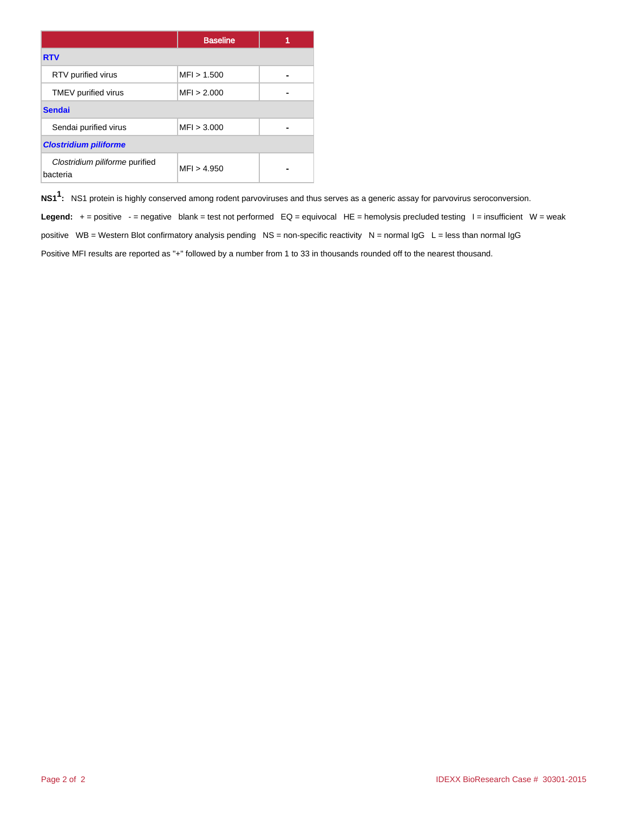|                                            | <b>Baseline</b> |  |  |
|--------------------------------------------|-----------------|--|--|
| <b>RTV</b>                                 |                 |  |  |
| RTV purified virus                         | MFI > 1.500     |  |  |
| TMEV purified virus                        | MFI > 2.000     |  |  |
| <b>Sendai</b>                              |                 |  |  |
| Sendai purified virus                      | MFI > 3.000     |  |  |
| <b>Clostridium piliforme</b>               |                 |  |  |
| Clostridium piliforme purified<br>bacteria | MFI > 4.950     |  |  |

**NS11 :** NS1 protein is highly conserved among rodent parvoviruses and thus serves as a generic assay for parvovirus seroconversion.

Legend: + = positive - = negative blank = test not performed EQ = equivocal HE = hemolysis precluded testing I = insufficient W = weak positive WB = Western Blot confirmatory analysis pending NS = non-specific reactivity N = normal  $\lg G$  L = less than normal  $\lg G$ Positive MFI results are reported as "+" followed by a number from 1 to 33 in thousands rounded off to the nearest thousand.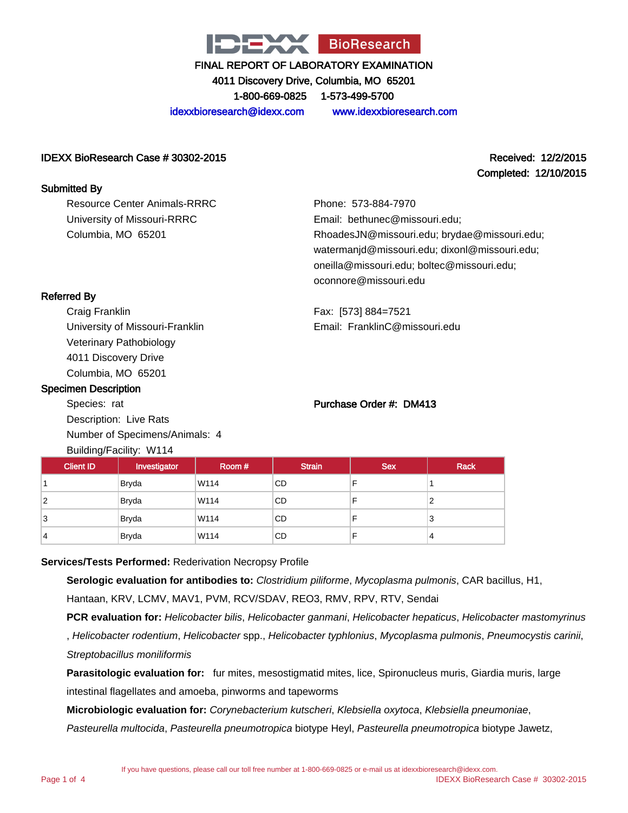

4011 Discovery Drive, Columbia, MO 65201

1-800-669-0825 1-573-499-5700

idexxbioresearch@idexx.com www.idexxbioresearch.com

#### IDEXX BioResearch Case # 30302-2015 Received: 12/2/2015

# Completed: 12/10/2015

Resource Center Animals-RRRC University of Missouri-RRRC Columbia, MO 65201

Phone: 573-884-7970 Email: bethunec@missouri.edu; RhoadesJN@missouri.edu; brydae@missouri.edu; watermanjd@missouri.edu; dixonl@missouri.edu; oneilla@missouri.edu; boltec@missouri.edu; oconnore@missouri.edu

Fax: [573] 884=7521 Email: FranklinC@missouri.edu

## Referred By

Submitted By

Craig Franklin University of Missouri-Franklin Veterinary Pathobiology 4011 Discovery Drive Columbia, MO 65201

#### Specimen Description

Species: rat Description: Live Rats Number of Specimens/Animals: 4 Building/Facility: W114

#### Purchase Order #: DM413

| <b>Client ID</b> | Investigator | Room # | <b>Strain</b> | <b>Sex</b> | <b>Rack</b> |
|------------------|--------------|--------|---------------|------------|-------------|
|                  | Bryda        | W114   | CD            |            |             |
| 2                | <b>Bryda</b> | W114   | CD            | F          |             |
| 3                | <b>Bryda</b> | W114   | CD            | F          | 3           |
| 4                | <b>Bryda</b> | W114   | CD            | F          | 4           |

#### **Services/Tests Performed:** Rederivation Necropsy Profile

**Serologic evaluation for antibodies to:** Clostridium piliforme, Mycoplasma pulmonis, CAR bacillus, H1, Hantaan, KRV, LCMV, MAV1, PVM, RCV/SDAV, REO3, RMV, RPV, RTV, Sendai

**PCR evaluation for:** Helicobacter bilis, Helicobacter ganmani, Helicobacter hepaticus, Helicobacter mastomyrinus

, Helicobacter rodentium, Helicobacter spp., Helicobacter typhlonius, Mycoplasma pulmonis, Pneumocystis carinii, Streptobacillus moniliformis

**Parasitologic evaluation for:** fur mites, mesostigmatid mites, lice, Spironucleus muris, Giardia muris, large intestinal flagellates and amoeba, pinworms and tapeworms

**Microbiologic evaluation for:** Corynebacterium kutscheri, Klebsiella oxytoca, Klebsiella pneumoniae,

Pasteurella multocida, Pasteurella pneumotropica biotype Heyl, Pasteurella pneumotropica biotype Jawetz,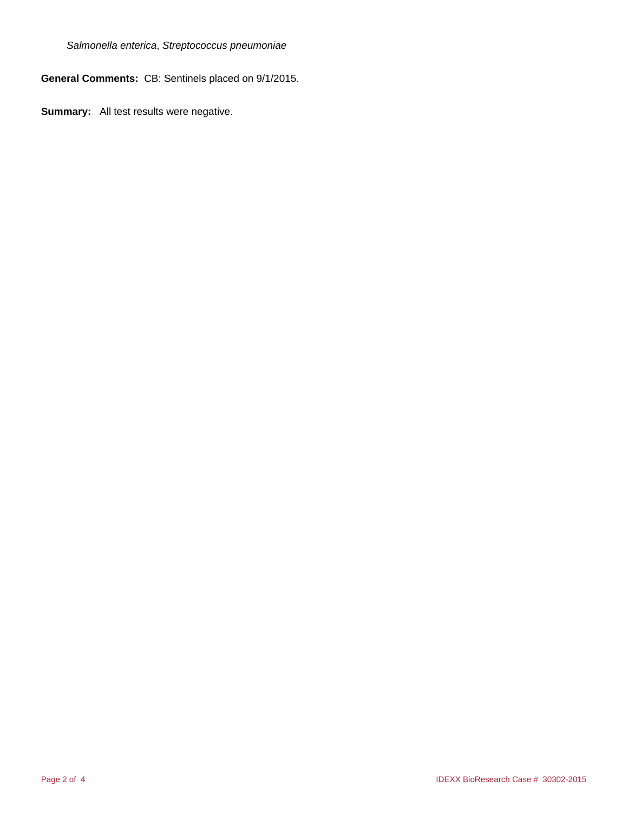Salmonella enterica, Streptococcus pneumoniae

**General Comments:** CB: Sentinels placed on 9/1/2015.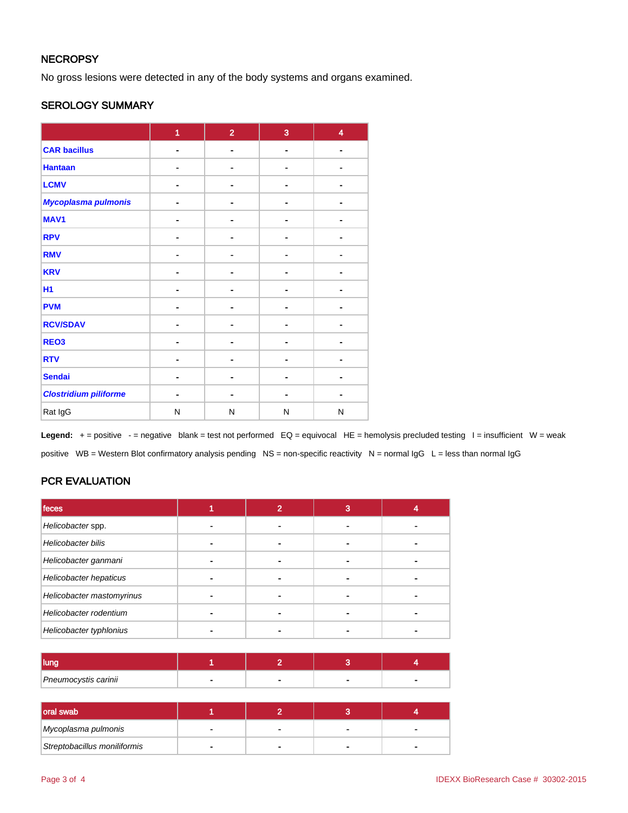## **NECROPSY**

No gross lesions were detected in any of the body systems and organs examined.

#### SEROLOGY SUMMARY

|                              | 1              | $\overline{2}$ | 3              | $\overline{\mathbf{4}}$ |
|------------------------------|----------------|----------------|----------------|-------------------------|
| <b>CAR bacillus</b>          | $\blacksquare$ |                | $\blacksquare$ |                         |
| <b>Hantaan</b>               |                |                |                |                         |
| <b>LCMV</b>                  |                |                |                |                         |
| Mycoplasma pulmonis          | $\blacksquare$ |                | $\blacksquare$ |                         |
| MAV1                         | $\blacksquare$ |                | ۰              | $\blacksquare$          |
| <b>RPV</b>                   |                |                |                |                         |
| <b>RMV</b>                   |                |                |                |                         |
| <b>KRV</b>                   |                |                |                |                         |
| H <sub>1</sub>               | $\blacksquare$ |                | -              |                         |
| <b>PVM</b>                   | ۰              |                | ۰              |                         |
| <b>RCV/SDAV</b>              |                |                |                |                         |
| REO <sub>3</sub>             |                |                |                |                         |
| <b>RTV</b>                   | ۰              |                |                |                         |
| <b>Sendai</b>                | ۰              |                | ۰              |                         |
| <b>Clostridium piliforme</b> | ۰              |                |                |                         |
| Rat IgG                      | N              | N              | N              | N                       |

Legend: + = positive - = negative blank = test not performed EQ = equivocal HE = hemolysis precluded testing I = insufficient W = weak positive WB = Western Blot confirmatory analysis pending NS = non-specific reactivity N = normal IgG L = less than normal IgG

# PCR EVALUATION

| feces                     | 2 | 3 |  |
|---------------------------|---|---|--|
| Helicobacter spp.         | - |   |  |
| Helicobacter bilis        |   |   |  |
| Helicobacter ganmani      |   |   |  |
| Helicobacter hepaticus    |   |   |  |
| Helicobacter mastomyrinus |   |   |  |
| Helicobacter rodentium    |   |   |  |
| Helicobacter typhlonius   |   |   |  |

| Pneumocystis carinii |  |  |
|----------------------|--|--|

| oral swab                    |  |  |
|------------------------------|--|--|
| Mycoplasma pulmonis          |  |  |
| Streptobacillus moniliformis |  |  |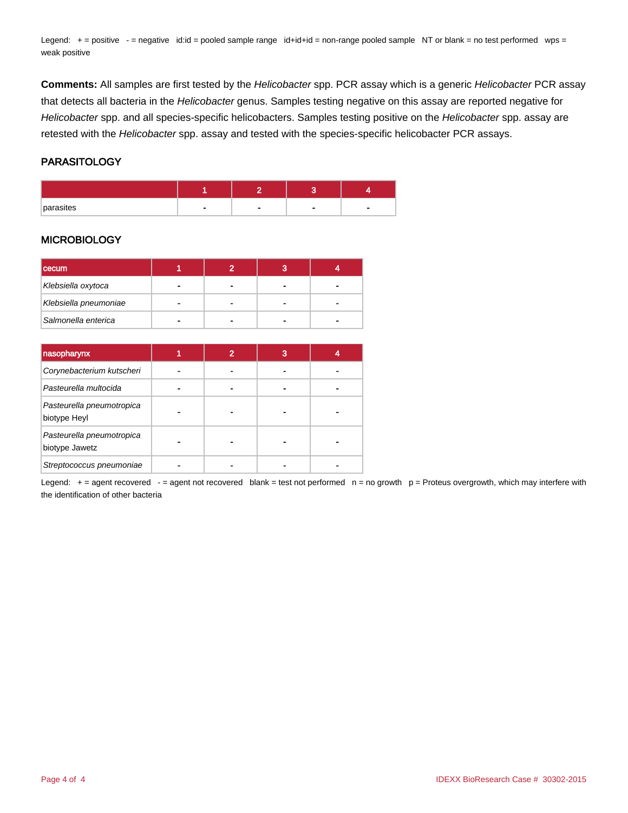Legend: + = positive - = negative id:id = pooled sample range id+id+id = non-range pooled sample NT or blank = no test performed wps = weak positive

**Comments:** All samples are first tested by the Helicobacter spp. PCR assay which is a generic Helicobacter PCR assay that detects all bacteria in the Helicobacter genus. Samples testing negative on this assay are reported negative for Helicobacter spp. and all species-specific helicobacters. Samples testing positive on the Helicobacter spp. assay are retested with the Helicobacter spp. assay and tested with the species-specific helicobacter PCR assays.

#### PARASITOLOGY

| parasites |  |  |
|-----------|--|--|

#### **MICROBIOLOGY**

| <b>cecum</b>          |  |   |   |
|-----------------------|--|---|---|
| Klebsiella oxytoca    |  |   |   |
| Klebsiella pneumoniae |  |   | - |
| Salmonella enterica   |  | - |   |

| nasopharynx                                 | $\overline{\mathbf{2}}$ | З |  |
|---------------------------------------------|-------------------------|---|--|
| Corynebacterium kutscheri                   |                         |   |  |
| Pasteurella multocida                       |                         |   |  |
| Pasteurella pneumotropica<br>biotype Heyl   |                         |   |  |
| Pasteurella pneumotropica<br>biotype Jawetz |                         |   |  |
| Streptococcus pneumoniae                    |                         |   |  |

Legend:  $+=$  agent recovered  $-$  = agent not recovered blank = test not performed  $n =$  no growth  $p =$  Proteus overgrowth, which may interfere with the identification of other bacteria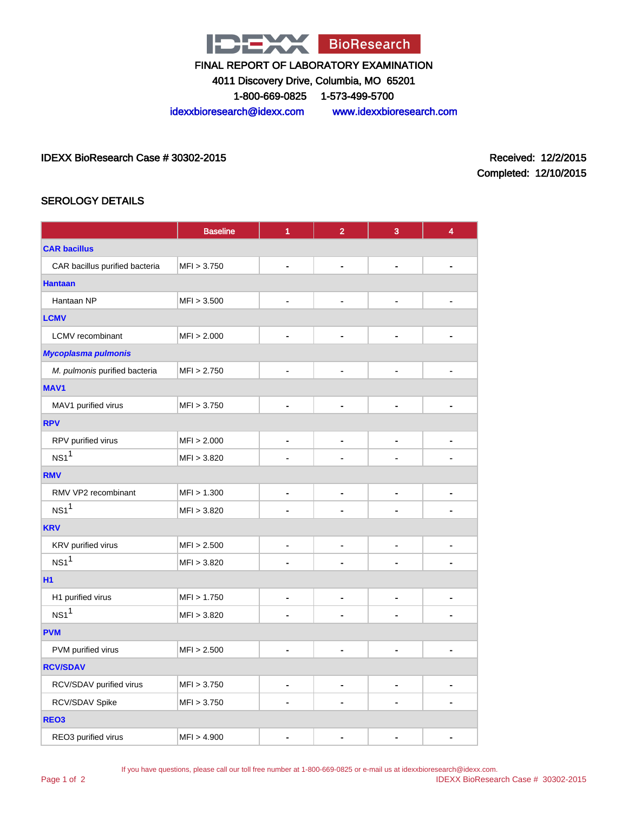

4011 Discovery Drive, Columbia, MO 65201

1-800-669-0825 1-573-499-5700

idexxbioresearch@idexx.com www.idexxbioresearch.com

IDEXX BioResearch Case # 30302-2015 Received: 12/2/2015

Completed: 12/10/2015

## SEROLOGY DETAILS

|                                | <b>Baseline</b> | 1              | $\overline{2}$ | 3                            | 4              |  |
|--------------------------------|-----------------|----------------|----------------|------------------------------|----------------|--|
| <b>CAR bacillus</b>            |                 |                |                |                              |                |  |
| CAR bacillus purified bacteria | MFI > 3.750     |                |                | ٠                            | ٠              |  |
| <b>Hantaan</b>                 |                 |                |                |                              |                |  |
| Hantaan NP                     | MFI > 3.500     |                |                | $\blacksquare$               | ÷              |  |
| <b>LCMV</b>                    |                 |                |                |                              |                |  |
| <b>LCMV</b> recombinant        | MFI > 2.000     | $\blacksquare$ |                | $\blacksquare$               | $\blacksquare$ |  |
| <b>Mycoplasma pulmonis</b>     |                 |                |                |                              |                |  |
| M. pulmonis purified bacteria  | MFI > 2.750     | $\blacksquare$ |                | ٠                            | $\blacksquare$ |  |
| MAV1                           |                 |                |                |                              |                |  |
| MAV1 purified virus            | MFI > 3.750     | ä,             | ä,             | $\blacksquare$               | $\blacksquare$ |  |
| <b>RPV</b>                     |                 |                |                |                              |                |  |
| RPV purified virus             | MFI > 2.000     | $\blacksquare$ | -              | $\blacksquare$               | $\blacksquare$ |  |
| NS1 <sup>1</sup>               | MFI > 3.820     |                |                |                              |                |  |
| <b>RMV</b>                     |                 |                |                |                              |                |  |
| RMV VP2 recombinant            | MFI > 1.300     | $\overline{a}$ |                | $\overline{\phantom{a}}$     | $\blacksquare$ |  |
| NS1 <sup>1</sup>               | MFI > 3.820     |                |                |                              |                |  |
| <b>KRV</b>                     |                 |                |                |                              |                |  |
| KRV purified virus             | MFI > 2.500     | $\blacksquare$ |                | $\qquad \qquad \blacksquare$ | $\blacksquare$ |  |
| NS1 <sup>1</sup>               | MFI > 3.820     |                |                |                              | ٠              |  |
| <b>H1</b>                      |                 |                |                |                              |                |  |
| H1 purified virus              | MFI > 1.750     |                | L,             | $\overline{a}$               | $\blacksquare$ |  |
| NS1 <sup>1</sup>               | MFI > 3.820     |                |                |                              |                |  |
| <b>PVM</b>                     |                 |                |                |                              |                |  |
| PVM purified virus             | MFI > 2.500     |                |                | $\blacksquare$               | $\blacksquare$ |  |
| <b>RCV/SDAV</b>                |                 |                |                |                              |                |  |
| RCV/SDAV purified virus        | MFI > 3.750     | $\blacksquare$ | -              | $\blacksquare$               | $\blacksquare$ |  |
| RCV/SDAV Spike                 | MFI > 3.750     |                | -              |                              | $\blacksquare$ |  |
| REO <sub>3</sub>               |                 |                |                |                              |                |  |
| REO3 purified virus            | MFI > 4.900     |                |                |                              | $\blacksquare$ |  |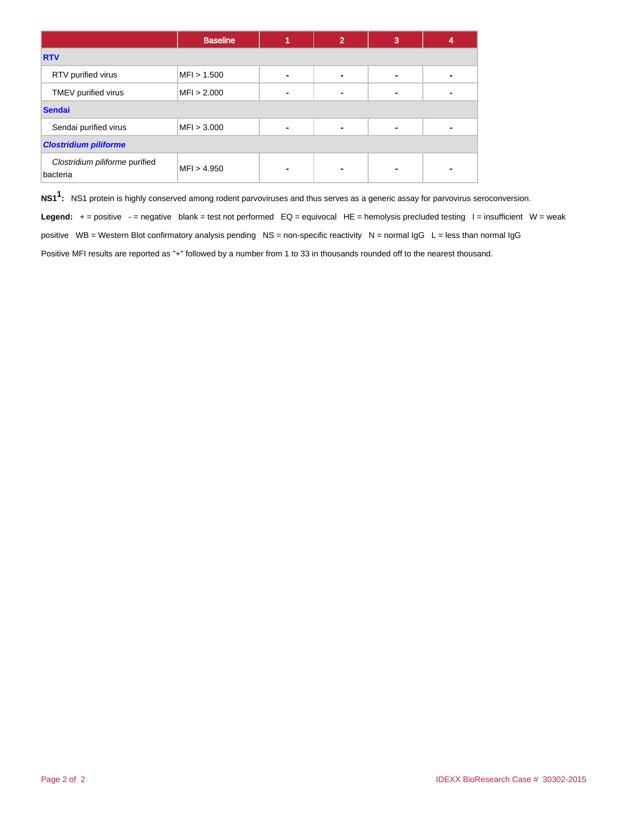|                                            | <b>Baseline</b> |                | $\overline{2}$ | 3 |  |  |  |
|--------------------------------------------|-----------------|----------------|----------------|---|--|--|--|
| <b>RTV</b>                                 |                 |                |                |   |  |  |  |
| RTV purified virus                         | MFI > 1.500     | ۰              |                |   |  |  |  |
| TMEV purified virus                        | MFI > 2.000     | ۰              |                |   |  |  |  |
| <b>Sendai</b>                              |                 |                |                |   |  |  |  |
| Sendai purified virus                      | MFI > 3.000     | ۰              | ٠              | ٠ |  |  |  |
| <b>Clostridium piliforme</b>               |                 |                |                |   |  |  |  |
| Clostridium piliforme purified<br>bacteria | MFI > 4.950     | $\blacksquare$ |                |   |  |  |  |

**NS11 :** NS1 protein is highly conserved among rodent parvoviruses and thus serves as a generic assay for parvovirus seroconversion.

Legend: + = positive - = negative blank = test not performed EQ = equivocal HE = hemolysis precluded testing I = insufficient W = weak positive WB = Western Blot confirmatory analysis pending NS = non-specific reactivity N = normal IgG L = less than normal IgG Positive MFI results are reported as "+" followed by a number from 1 to 33 in thousands rounded off to the nearest thousand.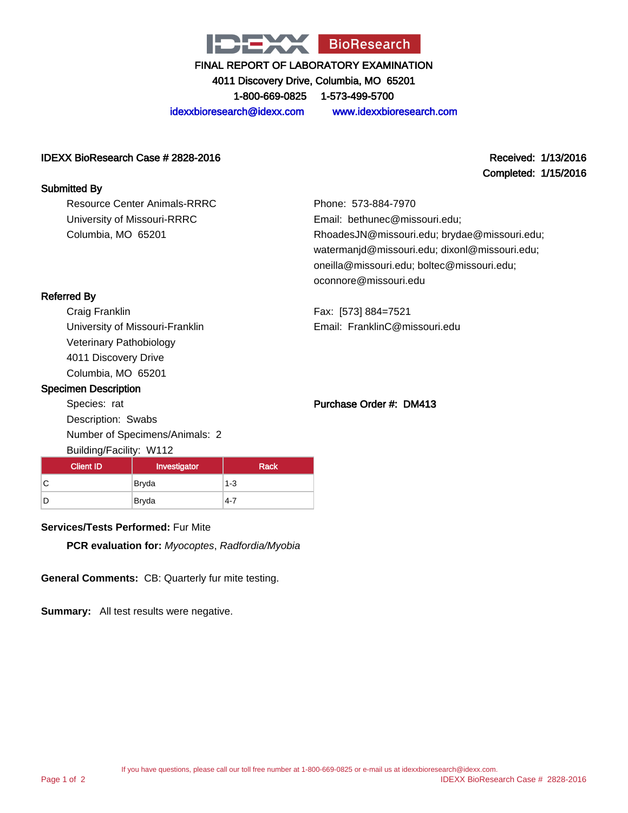

4011 Discovery Drive, Columbia, MO 65201

1-800-669-0825 1-573-499-5700

idexxbioresearch@idexx.com www.idexxbioresearch.com

#### IDEXX BioResearch Case # 2828-2016 Received: 1/13/2016

Submitted By

Resource Center Animals-RRRC University of Missouri-RRRC Columbia, MO 65201

Completed: 1/15/2016

Phone: 573-884-7970 Email: bethunec@missouri.edu; RhoadesJN@missouri.edu; brydae@missouri.edu; watermanjd@missouri.edu; dixonl@missouri.edu; oneilla@missouri.edu; boltec@missouri.edu; oconnore@missouri.edu

Fax: [573] 884=7521 Email: FranklinC@missouri.edu

# Referred By

Craig Franklin University of Missouri-Franklin Veterinary Pathobiology 4011 Discovery Drive Columbia, MO 65201

#### Specimen Description

Species: rat Description: Swabs Number of Specimens/Animals: 2 Building/Facility: W112

# Purchase Order #: DM413

| ຼ                |              |             |
|------------------|--------------|-------------|
| <b>Client ID</b> | Investigator | <b>Rack</b> |
| С                | <b>Bryda</b> | $1 - 3$     |
| D                | Bryda        | $4 - 7$     |

## **Services/Tests Performed:** Fur Mite

**PCR evaluation for:** Myocoptes, Radfordia/Myobia

**General Comments:** CB: Quarterly fur mite testing.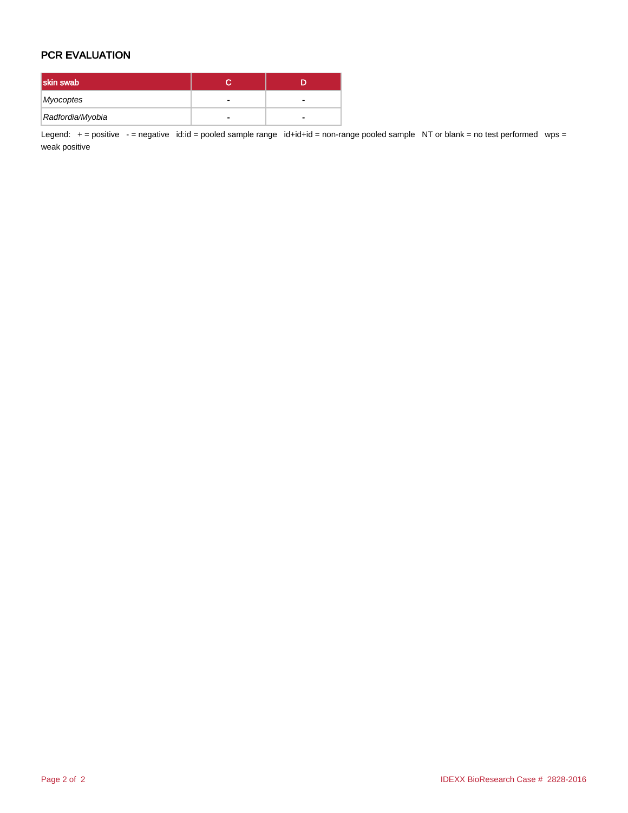## PCR EVALUATION

| skin swab        |   |
|------------------|---|
| Myocoptes        |   |
| Radfordia/Myobia | - |

Legend: + = positive - = negative id:id = pooled sample range id+id+id = non-range pooled sample NT or blank = no test performed wps = weak positive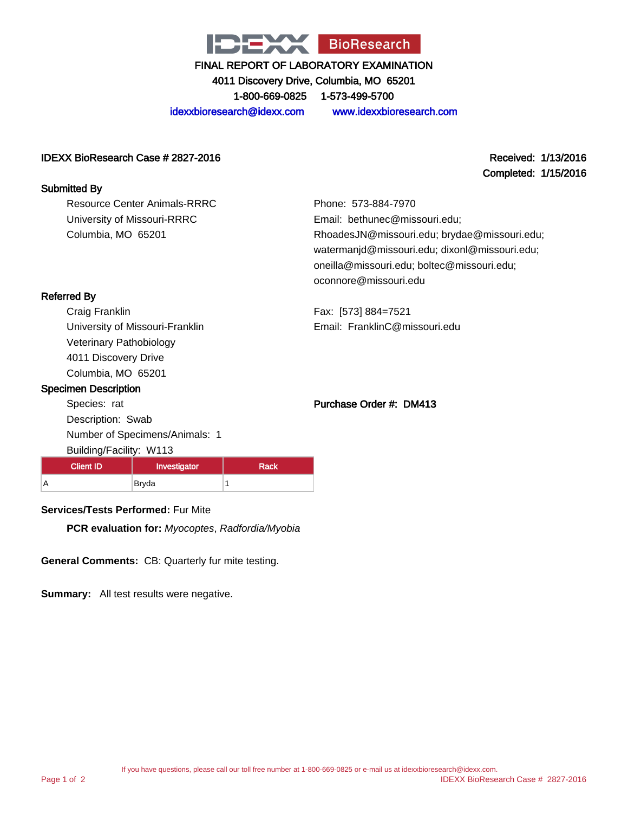

4011 Discovery Drive, Columbia, MO 65201

1-800-669-0825 1-573-499-5700

idexxbioresearch@idexx.com www.idexxbioresearch.com

#### IDEXX BioResearch Case # 2827-2016 Received: 1/13/2016

Completed: 1/15/2016

#### Submitted By

Resource Center Animals-RRRC University of Missouri-RRRC Columbia, MO 65201

Phone: 573-884-7970 Email: bethunec@missouri.edu; RhoadesJN@missouri.edu; brydae@missouri.edu; watermanjd@missouri.edu; dixonl@missouri.edu; oneilla@missouri.edu; boltec@missouri.edu; oconnore@missouri.edu

Referred By

Craig Franklin University of Missouri-Franklin Veterinary Pathobiology 4011 Discovery Drive Columbia, MO 65201

#### Specimen Description

Species: rat Description: Swab Number of Specimens/Animals: 1 Building/Facility: W113

# Purchase Order #: DM413

Email: FranklinC@missouri.edu

Fax: [573] 884=7521

A Bryda 1

Client ID | Investigator | Rack

## **Services/Tests Performed:** Fur Mite

**PCR evaluation for:** Myocoptes, Radfordia/Myobia

**General Comments:** CB: Quarterly fur mite testing.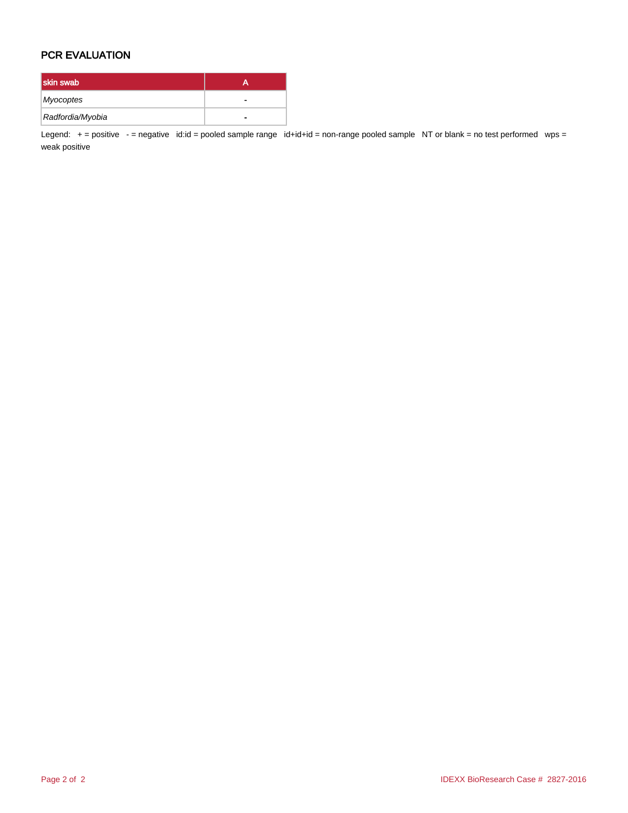## PCR EVALUATION

| skin swab        |   |
|------------------|---|
| Myocoptes        |   |
| Radfordia/Myobia | - |

Legend: + = positive - = negative id:id = pooled sample range id+id+id = non-range pooled sample NT or blank = no test performed wps = weak positive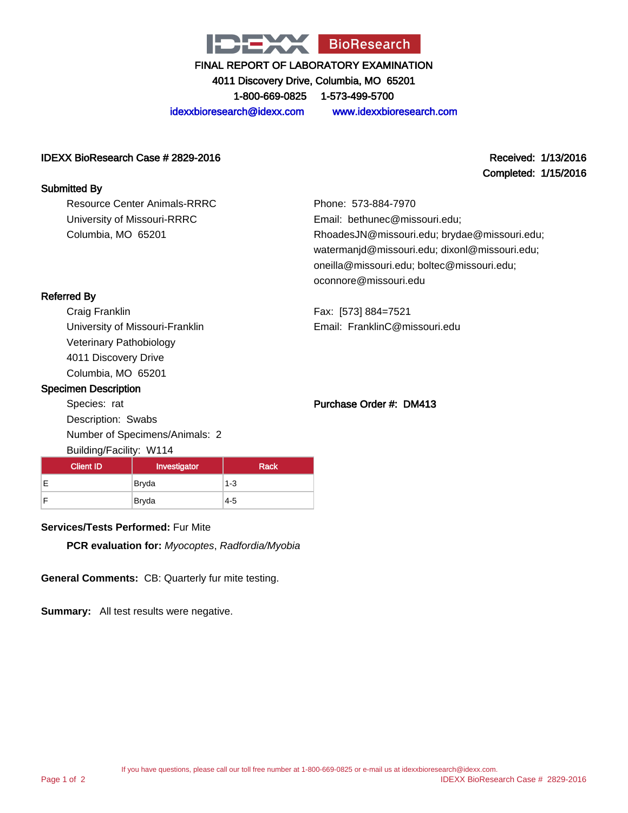

4011 Discovery Drive, Columbia, MO 65201

1-800-669-0825 1-573-499-5700

idexxbioresearch@idexx.com www.idexxbioresearch.com

#### IDEXX BioResearch Case # 2829-2016 Received: 1/13/2016

Submitted By

Resource Center Animals-RRRC University of Missouri-RRRC Columbia, MO 65201

Completed: 1/15/2016

Phone: 573-884-7970 Email: bethunec@missouri.edu; RhoadesJN@missouri.edu; brydae@missouri.edu; watermanjd@missouri.edu; dixonl@missouri.edu; oneilla@missouri.edu; boltec@missouri.edu; oconnore@missouri.edu

Fax: [573] 884=7521 Email: FranklinC@missouri.edu

## Referred By

Craig Franklin University of Missouri-Franklin Veterinary Pathobiology 4011 Discovery Drive Columbia, MO 65201

#### Specimen Description

Species: rat Description: Swabs Number of Specimens/Animals: 2 Building/Facility: W114

#### Purchase Order #: DM413

| $\cdot$<br>---                   |              |             |  |  |
|----------------------------------|--------------|-------------|--|--|
| <b>Client ID</b><br>Investigator |              | <b>Rack</b> |  |  |
| Е                                | <b>Bryda</b> | $1 - 3$     |  |  |
| F                                | Bryda        | $4 - 5$     |  |  |

#### **Services/Tests Performed:** Fur Mite

**PCR evaluation for:** Myocoptes, Radfordia/Myobia

**General Comments:** CB: Quarterly fur mite testing.